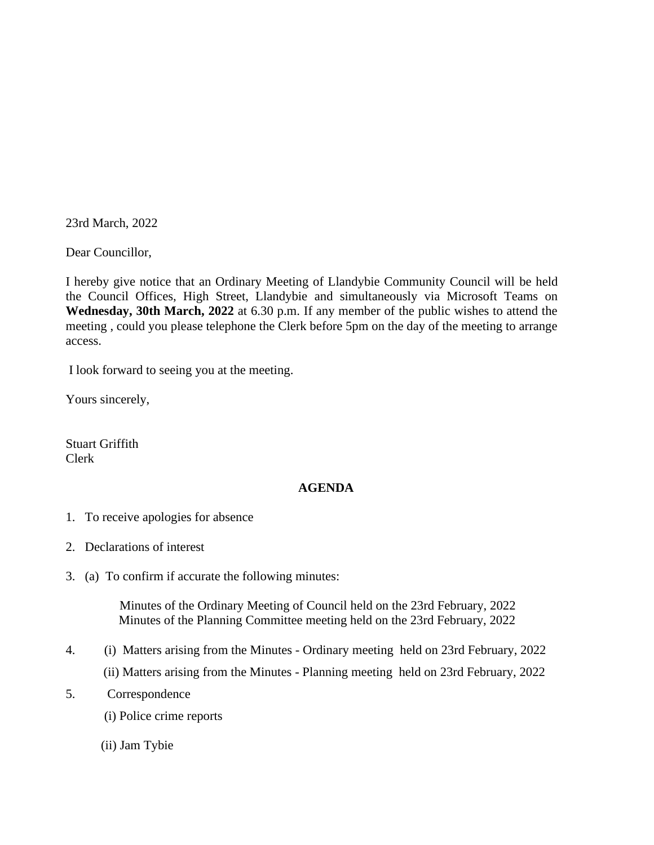23rd March, 2022

Dear Councillor,

I hereby give notice that an Ordinary Meeting of Llandybie Community Council will be held the Council Offices, High Street, Llandybie and simultaneously via Microsoft Teams on **Wednesday, 30th March, 2022** at 6.30 p.m. If any member of the public wishes to attend the meeting , could you please telephone the Clerk before 5pm on the day of the meeting to arrange access.

I look forward to seeing you at the meeting.

Yours sincerely,

Stuart Griffith Clerk

## **AGENDA**

- 1. To receive apologies for absence
- 2. Declarations of interest
- 3. (a) To confirm if accurate the following minutes:

 Minutes of the Ordinary Meeting of Council held on the 23rd February, 2022 Minutes of the Planning Committee meeting held on the 23rd February, 2022

- 4. (i) Matters arising from the Minutes Ordinary meeting held on 23rd February, 2022 (ii) Matters arising from the Minutes - Planning meeting held on 23rd February, 2022
- 5. Correspondence
	- (i) Police crime reports
	- (ii) Jam Tybie